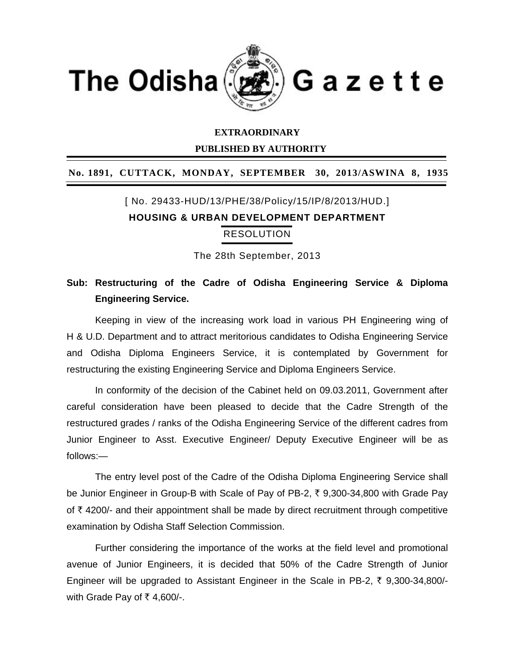

#### **EXTRAORDINARY**

 **PUBLISHED BY AUTHORITY** 

#### **No. 1891, CUTTACK, MONDAY, SEPTEMBER 30, 2013/ASWINA 8, 1935**

# [ No. 29433-HUD/13/PHE/38/Policy/15/IP/8/2013/HUD.] **HOUSING & URBAN DEVELOPMENT DEPARTMENT** RESOLUTION

The 28th September, 2013

### **Sub: Restructuring of the Cadre of Odisha Engineering Service & Diploma Engineering Service.**

Keeping in view of the increasing work load in various PH Engineering wing of H & U.D. Department and to attract meritorious candidates to Odisha Engineering Service and Odisha Diploma Engineers Service, it is contemplated by Government for restructuring the existing Engineering Service and Diploma Engineers Service.

In conformity of the decision of the Cabinet held on 09.03.2011, Government after careful consideration have been pleased to decide that the Cadre Strength of the restructured grades / ranks of the Odisha Engineering Service of the different cadres from Junior Engineer to Asst. Executive Engineer/ Deputy Executive Engineer will be as follows:—

The entry level post of the Cadre of the Odisha Diploma Engineering Service shall be Junior Engineer in Group-B with Scale of Pay of PB-2, ₹ 9,300-34,800 with Grade Pay of  $\bar{\tau}$  4200/- and their appointment shall be made by direct recruitment through competitive examination by Odisha Staff Selection Commission.

Further considering the importance of the works at the field level and promotional avenue of Junior Engineers, it is decided that 50% of the Cadre Strength of Junior Engineer will be upgraded to Assistant Engineer in the Scale in PB-2,  $\bar{\tau}$  9,300-34,800/with Grade Pay of  $\bar{\tau}$  4,600/-.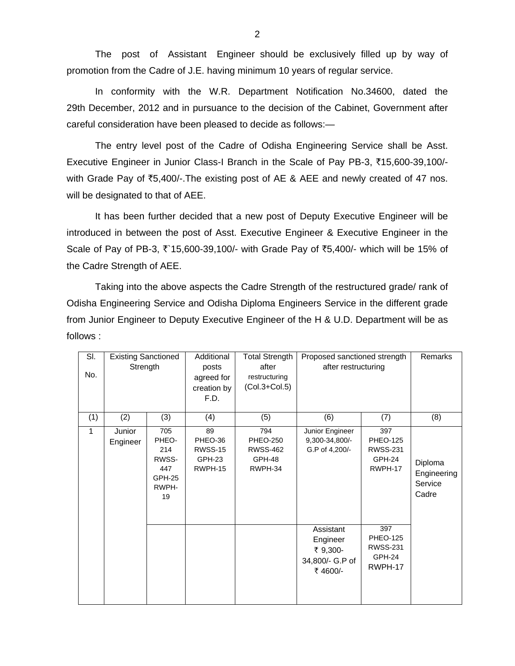The post of Assistant Engineer should be exclusively filled up by way of promotion from the Cadre of J.E. having minimum 10 years of regular service.

In conformity with the W.R. Department Notification No.34600, dated the 29th December, 2012 and in pursuance to the decision of the Cabinet, Government after careful consideration have been pleased to decide as follows:—

The entry level post of the Cadre of Odisha Engineering Service shall be Asst. Executive Engineer in Junior Class-I Branch in the Scale of Pay PB-3, `15,600-39,100/ with Grade Pay of  $\overline{5}5,400/-$ . The existing post of AE & AEE and newly created of 47 nos. will be designated to that of AEE.

It has been further decided that a new post of Deputy Executive Engineer will be introduced in between the post of Asst. Executive Engineer & Executive Engineer in the Scale of Pay of PB-3,  $\bar{x}$  15,600-39,100/- with Grade Pay of  $\bar{x}$ 5,400/- which will be 15% of the Cadre Strength of AEE.

Taking into the above aspects the Cadre Strength of the restructured grade/ rank of Odisha Engineering Service and Odisha Diploma Engineers Service in the different grade from Junior Engineer to Deputy Executive Engineer of the H & U.D. Department will be as follows :

| SI.         | <b>Existing Sanctioned</b> |                                                                     | Additional                                                  | <b>Total Strength</b>                                          | Proposed sanctioned strength                                    |                                                                | Remarks                                    |
|-------------|----------------------------|---------------------------------------------------------------------|-------------------------------------------------------------|----------------------------------------------------------------|-----------------------------------------------------------------|----------------------------------------------------------------|--------------------------------------------|
| No.         | Strength                   |                                                                     | posts<br>agreed for<br>creation by<br>F.D.                  | after<br>restructuring<br>$(Col.3 + Col.5)$                    | after restructuring                                             |                                                                |                                            |
| (1)         | (2)                        | (3)                                                                 | (4)                                                         | (5)                                                            | (6)                                                             | (7)                                                            | (8)                                        |
| $\mathbf 1$ | Junior<br>Engineer         | 705<br>PHEO-<br>214<br>RWSS-<br>447<br><b>GPH-25</b><br>RWPH-<br>19 | 89<br>PHEO-36<br><b>RWSS-15</b><br><b>GPH-23</b><br>RWPH-15 | 794<br><b>PHEO-250</b><br><b>RWSS-462</b><br>GPH-48<br>RWPH-34 | Junior Engineer<br>9,300-34,800/-<br>G.P of 4,200/-             | 397<br><b>PHEO-125</b><br><b>RWSS-231</b><br>GPH-24<br>RWPH-17 | Diploma<br>Engineering<br>Service<br>Cadre |
|             |                            |                                                                     |                                                             |                                                                | Assistant<br>Engineer<br>₹ 9,300-<br>34,800/- G.P of<br>₹4600/- | 397<br><b>PHEO-125</b><br><b>RWSS-231</b><br>GPH-24<br>RWPH-17 |                                            |